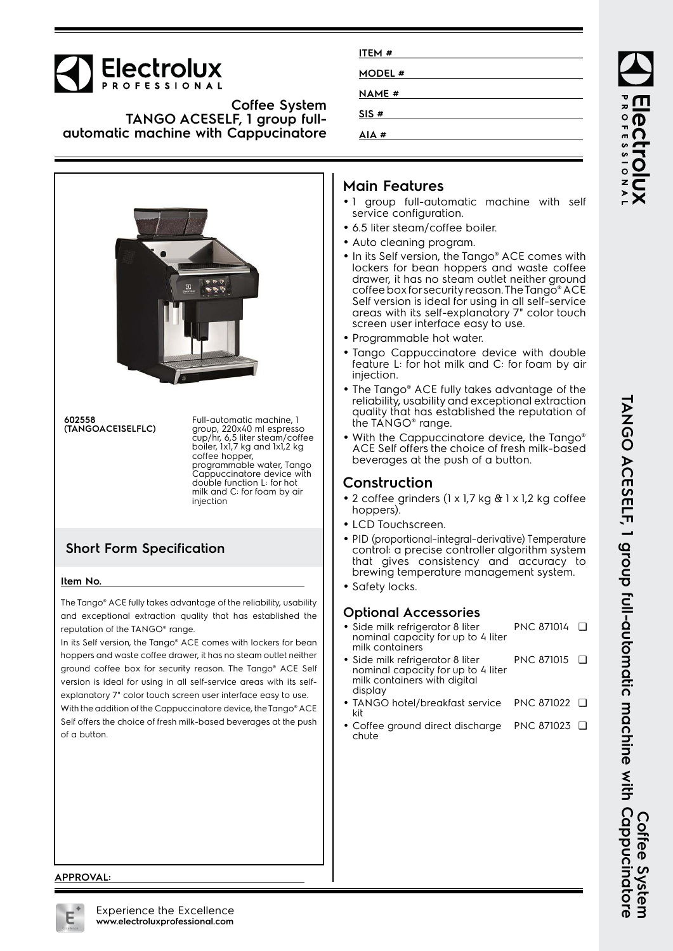

#### **Coffee System TANGO ACESELF, 1 group fullautomatic machine with Cappucinatore**



**602558 (TANGOACE1SELFLC)** Full-automatic machine, 1 group, 220x40 ml espresso cup/hr, 6,5 liter steam/coffee boiler, 1x1,7 kg and 1x1,2 kg coffee hopper, programmable water, Tango Cappuccinatore device with double function L: for hot milk and C: for foam by air injection

## **Short Form Specification**

#### **Item No.**

The Tango® ACE fully takes advantage of the reliability, usability and exceptional extraction quality that has established the reputation of the TANGO® range.

In its Self version, the Tango® ACE comes with lockers for bean hoppers and waste coffee drawer, it has no steam outlet neither ground coffee box for security reason. The Tango® ACE Self version is ideal for using in all self-service areas with its selfexplanatory 7" color touch screen user interface easy to use. With the addition of the Cappuccinatore device, the Tango® ACE Self offers the choice of fresh milk-based beverages at the push of a button.

| ITEM#         |  |  |
|---------------|--|--|
| <b>MODEL#</b> |  |  |
| NAME #        |  |  |
| SIS#          |  |  |
| AIA#          |  |  |

## **Main Features**

- 1 group full-automatic machine with self service configuration.
- 6.5 liter steam/coffee boiler.
- Auto cleaning program.
- In its Self version, the Tango® ACE comes with lockers for bean hoppers and waste coffee drawer, it has no steam outlet neither ground coffee box for security reason. The Tango® ACE Self version is ideal for using in all self-service areas with its self-explanatory 7" color touch screen user interface easy to use.
- Programmable hot water.
- • Tango Cappuccinatore device with double feature L: for hot milk and C: for foam by air injection.
- The Tango® ACE fully takes advantage of the reliability, usability and exceptional extraction quality that has established the reputation of the TANGO® range.
- •With the Cappuccinatore device, the Tango® ACE Self offers the choice of fresh milk-based beverages at the push of a button.

### **Construction**

- 2 coffee grinders (1 x 1,7 kg & 1 x 1,2 kg coffee hoppers).
- LCD Touchscreen.
- PID (proportional–integral–derivative) Temperature control: a precise controller algorithm system that gives consistency and accuracy to brewing temperature management system.
- Safety locks.

#### **Optional Accessories**

- • Side milk refrigerator 8 liter nominal capacity for up to 4 liter milk containers PNC 871014 ❑
- • Side milk refrigerator 8 liter nominal capacity for up to 4 liter milk containers with digital display PNC 871015 ❑
- • TANGO hotel/breakfast service kit PNC 871022 ❑
- Coffee ground direct discharge chute PNC 871023 ❑

TANGO ACESELF, I group full-automatic machine with Cappucinatore **TANGO ACESELF, 1 group full-automatic machine with Cappucinatore Coffee System** Corree System

ROFESSIONA

**APPROVAL:**